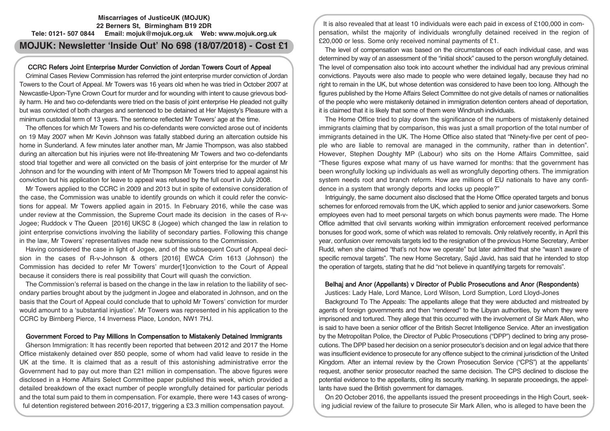# **Miscarriages of JusticeUK (MOJUK) 22 Berners St, Birmingham B19 2DR Tele: 0121- 507 0844 Email: mojuk@mojuk.org.uk Web: www.mojuk.org.uk MOJUK: Newsletter 'Inside Out' No 698 (18/07/2018) - Cost £1**

# CCRC Refers Joint Enterprise Murder Conviction of Jordan Towers Court of Appeal

Criminal Cases Review Commission has referred the joint enterprise murder conviction of Jordan Towers to the Court of Appeal. Mr Towers was 16 years old when he was tried in October 2007 at Newcastle-Upon-Tyne Crown Court for murder and for wounding with intent to cause grievous bodily harm. He and two co-defendants were tried on the basis of joint enterprise He pleaded not guilty but was convicted of both charges and sentenced to be detained at Her Majesty's Pleasure with a minimum custodial term of 13 years. The sentence reflected Mr Towers' age at the time.

The offences for which Mr Towers and his co-defendants were convicted arose out of incidents on 19 May 2007 when Mr Kevin Johnson was fatally stabbed during an altercation outside his home in Sunderland. A few minutes later another man, Mr Jamie Thompson, was also stabbed during an altercation but his injuries were not life-threatening Mr Towers and two co-defendants stood trial together and were all convicted on the basis of joint enterprise for the murder of Mr Johnson and for the wounding with intent of Mr Thompson Mr Towers tried to appeal against his conviction but his application for leave to appeal was refused by the full court in July 2008.

Mr Towers applied to the CCRC in 2009 and 2013 but in spite of extensive consideration of the case, the Commission was unable to identify grounds on which it could refer the convictions for appeal. Mr Towers applied again in 2015. In February 2016, while the case was under review at the Commission, the Supreme Court made its decision in the cases of R-v-Jogee; Ruddock v The Queen [2016] UKSC 8 (Jogee) which changed the law in relation to joint enterprise convictions involving the liability of secondary parties. Following this change in the law, Mr Towers' representatives made new submissions to the Commission.

Having considered the case in light of Jogee, and of the subsequent Court of Appeal decision in the cases of R-v-Johnson & others [2016] EWCA Crim 1613 (Johnson) the Commission has decided to refer Mr Towers' murder[1]conviction to the Court of Appeal because it considers there is real possibility that Court will quash the conviction.

The Commission's referral is based on the change in the law in relation to the liability of secondary parties brought about by the judgment in Jogee and elaborated in Johnson, and on the basis that the Court of Appeal could conclude that to uphold Mr Towers' conviction for murder would amount to a 'substantial injustice'. Mr Towers was represented in his application to the CCRC by Birnberg Pierce, 14 Inverness Place, London, NW1 7HJ.

# Government Forced to Pay Millions In Compensation to Mistakenly Detained Immigrants

Gherson Immigration: It has recently been reported that between 2012 and 2017 the Home Office mistakenly detained over 850 people, some of whom had valid leave to reside in the UK at the time. It is claimed that as a result of this astonishing administrative error the Government had to pay out more than £21 million in compensation. The above figures were disclosed in a Home Affairs Select Committee paper published this week, which provided a detailed breakdown of the exact number of people wrongfully detained for particular periods and the total sum paid to them in compensation. For example, there were 143 cases of wrongful detention registered between 2016-2017, triggering a £3.3 million compensation payout.

It is also revealed that at least 10 individuals were each paid in excess of £100,000 in compensation, whilst the majority of individuals wrongfully detained received in the region of £20,000 or less. Some only received nominal payments of £1.

The level of compensation was based on the circumstances of each individual case, and was determined by way of an assessment of the "initial shock" caused to the person wrongfully detained. The level of compensation also took into account whether the individual had any previous criminal convictions. Payouts were also made to people who were detained legally, because they had no right to remain in the UK, but whose detention was considered to have been too long. Although the figures published by the Home Affairs Select Committee do not give details of names or nationalities of the people who were mistakenly detained in immigration detention centers ahead of deportation, it is claimed that it is likely that some of them were Windrush individuals.

The Home Office tried to play down the significance of the numbers of mistakenly detained immigrants claiming that by comparison, this was just a small proportion of the total number of immigrants detained in the UK. The Home Office also stated that "Ninety-five per cent of people who are liable to removal are managed in the community, rather than in detention". However, Stephen Doughty MP (Labour) who sits on the Home Affairs Committee, said "These figures expose what many of us have warned for months: that the government has been wrongfully locking up individuals as well as wrongfully deporting others. The immigration system needs root and branch reform. How are millions of EU nationals to have any confidence in a system that wrongly deports and locks up people?"

Intriguingly, the same document also disclosed that the Home Office operated targets and bonus schemes for enforced removals from the UK, which applied to senior and junior caseworkers. Some employees even had to meet personal targets on which bonus payments were made. The Home Office admitted that civil servants working within immigration enforcement received performance bonuses for good work, some of which was related to removals. Only relatively recently, in April this year, confusion over removals targets led to the resignation of the previous Home Secretary, Amber Rudd, when she claimed "that's not how we operate" but later admitted that she "wasn't aware of specific removal targets". The new Home Secretary, Sajid Javid, has said that he intended to stop the operation of targets, stating that he did "not believe in quantifying targets for removals".

# Belhaj and Anor (Appellants) v Director of Public Prosecutions and Anor (Respondents)

Justices: Lady Hale, Lord Mance, Lord Wilson, Lord Sumption, Lord Lloyd-Jones

Background To The Appeals: The appellants allege that they were abducted and mistreated by agents of foreign governments and then "rendered" to the Libyan authorities, by whom they were imprisoned and tortured. They allege that this occurred with the involvement of Sir Mark Allen, who is said to have been a senior officer of the British Secret Intelligence Service. After an investigation by the Metropolitan Police, the Director of Public Prosecutions ("DPP") declined to bring any prosecutions. The DPP based her decision on a senior prosecutor's decision and on legal advice that there was insufficient evidence to prosecute for any offence subject to the criminal jurisdiction of the United Kingdom. After an internal review by the Crown Prosecution Service ("CPS") at the appellants' request, another senior prosecutor reached the same decision. The CPS declined to disclose the potential evidence to the appellants, citing its security marking. In separate proceedings, the appellants have sued the British government for damages.

On 20 October 2016, the appellants issued the present proceedings in the High Court, seeking judicial review of the failure to prosecute Sir Mark Allen, who is alleged to have been the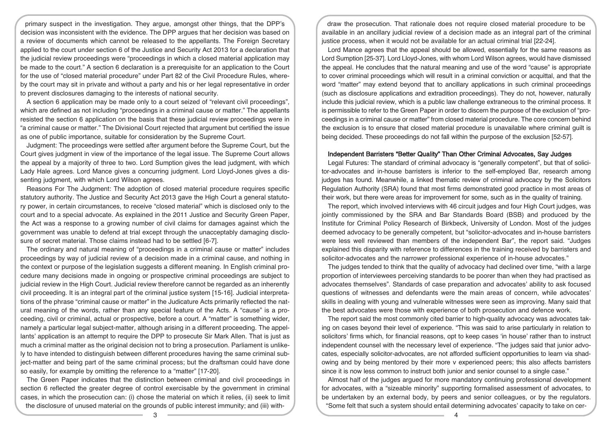primary suspect in the investigation. They argue, amongst other things, that the DPP's decision was inconsistent with the evidence. The DPP argues that her decision was based on a review of documents which cannot be released to the appellants. The Foreign Secretary applied to the court under section 6 of the Justice and Security Act 2013 for a declaration that the judicial review proceedings were "proceedings in which a closed material application may be made to the court." A section 6 declaration is a prerequisite for an application to the Court for the use of "closed material procedure" under Part 82 of the Civil Procedure Rules, whereby the court may sit in private and without a party and his or her legal representative in order to prevent disclosures damaging to the interests of national security.

A section 6 application may be made only to a court seized of "relevant civil proceedings", which are defined as not including "proceedings in a criminal cause or matter." The appellants resisted the section 6 application on the basis that these judicial review proceedings were in "a criminal cause or matter." The Divisional Court rejected that argument but certified the issue as one of public importance, suitable for consideration by the Supreme Court.

Judgment: The proceedings were settled after argument before the Supreme Court, but the Court gives judgment in view of the importance of the legal issue. The Supreme Court allows the appeal by a majority of three to two. Lord Sumption gives the lead judgment, with which Lady Hale agrees. Lord Mance gives a concurring judgment. Lord Lloyd-Jones gives a dissenting judgment, with which Lord Wilson agrees.

Reasons For The Judgment: The adoption of closed material procedure requires specific statutory authority. The Justice and Security Act 2013 gave the High Court a general statutory power, in certain circumstances, to receive "closed material" which is disclosed only to the court and to a special advocate. As explained in the 2011 Justice and Security Green Paper, the Act was a response to a growing number of civil claims for damages against which the government was unable to defend at trial except through the unacceptably damaging disclosure of secret material. Those claims instead had to be settled [6-7].

The ordinary and natural meaning of "proceedings in a criminal cause or matter" includes proceedings by way of judicial review of a decision made in a criminal cause, and nothing in the context or purpose of the legislation suggests a different meaning. In English criminal procedure many decisions made in ongoing or prospective criminal proceedings are subject to judicial review in the High Court. Judicial review therefore cannot be regarded as an inherently civil proceeding. It is an integral part of the criminal justice system [15-16]. Judicial interpretations of the phrase "criminal cause or matter" in the Judicature Acts primarily reflected the natural meaning of the words, rather than any special feature of the Acts. A "cause" is a proceeding, civil or criminal, actual or prospective, before a court. A "matter" is something wider, namely a particular legal subject-matter, although arising in a different proceeding. The appellants' application is an attempt to require the DPP to prosecute Sir Mark Allen. That is just as much a criminal matter as the original decision not to bring a prosecution. Parliament is unlikely to have intended to distinguish between different procedures having the same criminal subject-matter and being part of the same criminal process; but the draftsman could have done so easily, for example by omitting the reference to a "matter" [17-20].

The Green Paper indicates that the distinction between criminal and civil proceedings in section 6 reflected the greater degree of control exercisable by the government in criminal cases, in which the prosecution can: (i) chose the material on which it relies, (ii) seek to limit the disclosure of unused material on the grounds of public interest immunity; and (iii) with-

draw the prosecution. That rationale does not require closed material procedure to be available in an ancillary judicial review of a decision made as an integral part of the criminal justice process, when it would not be available for an actual criminal trial [22-24].

Lord Mance agrees that the appeal should be allowed, essentially for the same reasons as Lord Sumption [25-37]. Lord Lloyd-Jones, with whom Lord Wilson agrees, would have dismissed the appeal. He concludes that the natural meaning and use of the word "cause" is appropriate to cover criminal proceedings which will result in a criminal conviction or acquittal, and that the word "matter" may extend beyond that to ancillary applications in such criminal proceedings (such as disclosure applications and extradition proceedings). They do not, however, naturally include this judicial review, which is a public law challenge extraneous to the criminal process. It is permissible to refer to the Green Paper in order to discern the purpose of the exclusion of "proceedings in a criminal cause or matter" from closed material procedure. The core concern behind the exclusion is to ensure that closed material procedure is unavailable where criminal guilt is being decided. These proceedings do not fall within the purpose of the exclusion [52-57].

#### Independent Barristers "Better Quality" Than Other Criminal Advocates, Say Judges

Legal Futures: The standard of criminal advocacy is "generally competent", but that of solicitor-advocates and in-house barristers is inferior to the self-employed Bar, research among judges has found. Meanwhile, a linked thematic review of criminal advocacy by the Solicitors Regulation Authority (SRA) found that most firms demonstrated good practice in most areas of their work, but there were areas for improvement for some, such as in the quality of training.

The report, which involved interviews with 46 circuit judges and four High Court judges, was jointly commissioned by the SRA and Bar Standards Board (BSB) and produced by the Institute for Criminal Policy Research of Birkbeck, University of London. Most of the judges deemed advocacy to be generally competent, but "solicitor-advocates and in-house barristers were less well reviewed than members of the independent Bar", the report said. "Judges explained this disparity with reference to differences in the training received by barristers and solicitor-advocates and the narrower professional experience of in-house advocates."

The judges tended to think that the quality of advocacy had declined over time, "with a large proportion of interviewees perceiving standards to be poorer than when they had practised as advocates themselves". Standards of case preparation and advocates' ability to ask focused questions of witnesses and defendants were the main areas of concern, while advocates' skills in dealing with young and vulnerable witnesses were seen as improving. Many said that the best advocates were those with experience of both prosecution and defence work.

The report said the most commonly cited barrier to high-quality advocacy was advocates taking on cases beyond their level of experience. "This was said to arise particularly in relation to solicitors' firms which, for financial reasons, opt to keep cases 'in house' rather than to instruct independent counsel with the necessary level of experience. "The judges said that junior advocates, especially solicitor-advocates, are not afforded sufficient opportunities to learn via shadowing and by being mentored by their more v experienced peers; this also affects barristers since it is now less common to instruct both junior and senior counsel to a single case."

Almost half of the judges argued for more mandatory continuing professional development for advocates, with a "sizeable minority" supporting formalised assessment of advocates, to be undertaken by an external body, by peers and senior colleagues, or by the regulators. "Some felt that such a system should entail determining advocates' capacity to take on cer-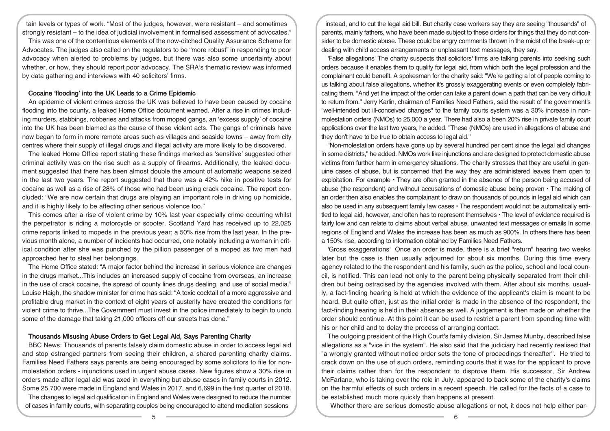tain levels or types of work. "Most of the judges, however, were resistant – and sometimes strongly resistant – to the idea of judicial involvement in formalised assessment of advocates."

This was one of the contentious elements of the now-ditched Quality Assurance Scheme for Advocates. The judges also called on the regulators to be "more robust" in responding to poor advocacy when alerted to problems by judges, but there was also some uncertainty about whether, or how, they should report poor advocacy. The SRA's thematic review was informed by data gathering and interviews with 40 solicitors' firms.

# Cocaine 'flooding' into the UK Leads to a Crime Epidemic

An epidemic of violent crimes across the UK was believed to have been caused by cocaine flooding into the county, a leaked Home Office document warned. After a rise in crimes including murders, stabbings, robberies and attacks from moped gangs, an 'excess supply' of cocaine into the UK has been blamed as the cause of these violent acts. The gangs of criminals have now began to form in more remote areas such as villages and seaside towns – away from city centres where their supply of illegal drugs and illegal activity are more likely to be discovered.

The leaked Home Office report stating these findings marked as 'sensitive' suggested other criminal activity was on the rise such as a supply of firearms. Additionally, the leaked document suggested that there has been almost double the amount of automatic weapons seized in the last two years. The report suggested that there was a 42% hike in positive tests for cocaine as well as a rise of 28% of those who had been using crack cocaine. The report concluded: "We are now certain that drugs are playing an important role in driving up homicide, and it is highly likely to be affecting other serious violence too."

This comes after a rise of violent crime by 10% last year especially crime occurring whilst the perpetrator is riding a motorcycle or scooter. Scotland Yard has received up to 22,025 crime reports linked to mopeds in the previous year; a 50% rise from the last year. In the previous month alone, a number of incidents had occurred, one notably including a woman in critical condition after she was punched by the pillion passenger of a moped as two men had approached her to steal her belongings.

The Home Office stated: "A major factor behind the increase in serious violence are changes in the drugs market...This includes an increased supply of cocaine from overseas, an increase in the use of crack cocaine, the spread of county lines drugs dealing, and use of social media." Louise Haigh, the shadow minister for crime has said: "A toxic cocktail of a more aggressive and profitable drug market in the context of eight years of austerity have created the conditions for violent crime to thrive...The Government must invest in the police immediately to begin to undo some of the damage that taking 21,000 officers off our streets has done."

## Thousands Misusing Abuse Orders to Get Legal Aid, Says Parenting Charity

BBC News: Thousands of parents falsely claim domestic abuse in order to access legal aid and stop estranged partners from seeing their children, a shared parenting charity claims. Families Need Fathers says parents are being encouraged by some solicitors to file for nonmolestation orders - injunctions used in urgent abuse cases. New figures show a 30% rise in orders made after legal aid was axed in everything but abuse cases in family courts in 2012. Some 25,700 were made in England and Wales in 2017, and 6,699 in the first quarter of 2018.

The changes to legal aid qualification in England and Wales were designed to reduce the number of cases in family courts, with separating couples being encouraged to attend mediation sessions

instead, and to cut the legal aid bill. But charity case workers say they are seeing "thousands" of parents, mainly fathers, who have been made subject to these orders for things that they do not consider to be domestic abuse. These could be angry comments thrown in the midst of the break-up or dealing with child access arrangements or unpleasant text messages, they say.

'False allegations' The charity suspects that solicitors' firms are talking parents into seeking such orders because it enables them to qualify for legal aid, from which both the legal profession and the complainant could benefit. A spokesman for the charity said: "We're getting a lot of people coming to us talking about false allegations, whether it's grossly exaggerating events or even completely fabricating them. "And yet the impact of the order can take a parent down a path that can be very difficult to return from." Jerry Karlin, chairman of Families Need Fathers, said the result of the government's "well-intended but ill-conceived changes" to the family courts system was a 30% increase in nonmolestation orders (NMOs) to 25,000 a year. There had also a been 20% rise in private family court applications over the last two years, he added. "These (NMOs) are used in allegations of abuse and they don't have to be true to obtain access to legal aid."

"Non-molestation orders have gone up by several hundred per cent since the legal aid changes in some districts," he added. NMOs work like injunctions and are designed to protect domestic abuse victims from further harm in emergency situations. The charity stresses that they are useful in genuine cases of abuse, but is concerned that the way they are administered leaves them open to exploitation. For example • They are often granted in the absence of the person being accused of abuse (the respondent) and without accusations of domestic abuse being proven • The making of an order then also enables the complainant to draw on thousands of pounds in legal aid which can also be used in any subsequent family law cases • The respondent would not be automatically entitled to legal aid, however, and often has to represent themselves • The level of evidence required is fairly low and can relate to claims about verbal abuse, unwanted text messages or emails In some regions of England and Wales the increase has been as much as 900%. In others there has been a 150% rise, according to information obtained by Families Need Fathers.

'Gross exaggerations' Once an order is made, there is a brief "return" hearing two weeks later but the case is then usually adjourned for about six months. During this time every agency related to the the respondent and his family, such as the police, school and local council, is notified. This can lead not only to the parent being physically separated from their children but being ostracised by the agencies involved with them. After about six months, usually, a fact-finding hearing is held at which the evidence of the applicant's claim is meant to be heard. But quite often, just as the initial order is made in the absence of the respondent, the fact-finding hearing is held in their absence as well. A judgement is then made on whether the order should continue. At this point it can be used to restrict a parent from spending time with his or her child and to delay the process of arranging contact.

The outgoing president of the High Court's family division, Sir James Munby, described false allegations as a "vice in the system". He also said that the judiciary had recently realised that "a wrongly granted without notice order sets the tone of proceedings thereafter". He tried to crack down on the use of such orders, reminding courts that it was for the applicant to prove their claims rather than for the respondent to disprove them. His successor, Sir Andrew McFarlane, who is taking over the role in July, appeared to back some of the charity's claims on the harmful effects of such orders in a recent speech. He called for the facts of a case to be established much more quickly than happens at present.

Whether there are serious domestic abuse allegations or not, it does not help either par-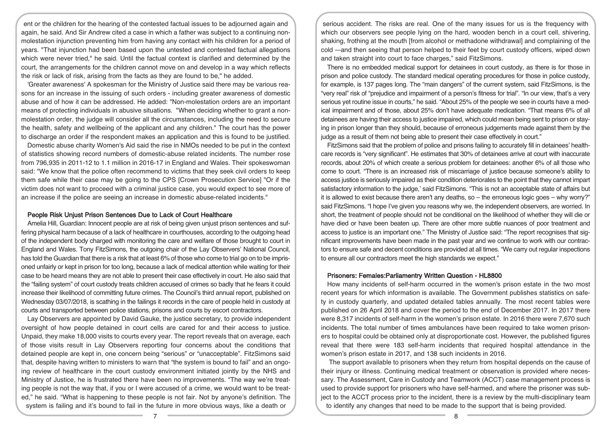ent or the children for the hearing of the contested factual issues to be adjourned again and again, he said. And Sir Andrew cited a case in which a father was subject to a continuing nonmolestation injunction preventing him from having any contact with his children for a period of years. "That injunction had been based upon the untested and contested factual allegations which were never tried," he said. Until the factual context is clarified and determined by the court, the arrangements for the children cannot move on and develop in a way which reflects the risk or lack of risk, arising from the facts as they are found to be," he added.

'Greater awareness' A spokesman for the Ministry of Justice said there may be various reasons for an increase in the issuing of such orders - including greater awareness of domestic abuse and of how it can be addressed. He added: "Non-molestation orders are an important means of protecting individuals in abusive situations. "When deciding whether to grant a nonmolestation order, the judge will consider all the circumstances, including the need to secure the health, safety and wellbeing of the applicant and any children." The court has the power to discharge an order if the respondent makes an application and this is found to be justified.

Domestic abuse charity Women's Aid said the rise in NMOs needed to be put in the context of statistics showing record numbers of domestic-abuse related incidents. The number rose from 796,935 in 2011-12 to 1.1 million in 2016-17 in England and Wales. Their spokeswoman said: "We know that the police often recommend to victims that they seek civil orders to keep them safe while their case may be going to the CPS [Crown Prosecution Service] "Or if the victim does not want to proceed with a criminal justice case, you would expect to see more of an increase if the police are seeing an increase in domestic abuse-related incidents."

## People Risk Unjust Prison Sentences Due to Lack of Court Healthcare

Amelia Hill, Guardian: Innocent people are at risk of being given unjust prison sentences and suffering physical harm because of a lack of healthcare in courthouses, according to the outgoing head of the independent body charged with monitoring the care and welfare of those brought to court in England and Wales. Tony FitzSimons, the outgoing chair of the Lay Observers' National Council, has told the Guardian that there is a risk that at least 6% of those who come to trial go on to be imprisoned unfairly or kept in prison for too long, because a lack of medical attention while waiting for their case to be heard means they are not able to present their case effectively in court. He also said that the "failing system" of court custody treats children accused of crimes so badly that he fears it could increase their likelihood of committing future crimes. The Council's third annual report, published on Wednesday 03/07/2018, is scathing in the failings it records in the care of people held in custody at courts and transported between police stations, prisons and courts by escort contractors.

Lay Observers are appointed by David Gauke, the justice secretary, to provide independent oversight of how people detained in court cells are cared for and their access to justice. Unpaid, they make 18,000 visits to courts every year. The report reveals that on average, each of those visits result in Lay Observers reporting four concerns about the conditions that detained people are kept in, one concern being "serious" or "unacceptable". FitzSimons said that, despite having written to ministers to warn that "the system is bound to fail" and an ongoing review of healthcare in the court custody environment initiated jointly by the NHS and Ministry of Justice, he is frustrated there have been no improvements. "The way we're treating people is not the way that, if you or I were accused of a crime, we would want to be treated," he said. "What is happening to these people is not fair. Not by anyone's definition. The system is failing and it's bound to fail in the future in more obvious ways, like a death or

serious accident. The risks are real. One of the many issues for us is the frequency with which our observers see people lying on the hard, wooden bench in a court cell, shivering, shaking, frothing at the mouth [from alcohol or methadone withdrawal] and complaining of the cold -–and then seeing that person helped to their feet by court custody officers, wiped down and taken straight into court to face charges," said FitzSimons.

There is no embedded medical support for detainees in court custody, as there is for those in prison and police custody. The standard medical operating procedures for those in police custody, for example, is 137 pages long. The "main dangers" of the current system, said FitzSimons, is the "very real" risk of "prejudice and impairment of a person's fitness for trial". "In our view, that's a very serious yet routine issue in courts," he said. "About 25% of the people we see in courts have a medical impairment and of those, about 25% don't have adequate medication. "That means 6% of all detainees are having their access to justice impaired, which could mean being sent to prison or staying in prison longer than they should, because of erroneous judgements made against them by the judge as a result of them not being able to present their case effectively in court."

FitzSimons said that the problem of police and prisons failing to accurately fill in detainees' healthcare records is "very significant". He estimates that 30% of detainees arrive at court with inaccurate records, about 20% of which create a serious problem for detainees: another 6% of all those who come to court. "There is an increased risk of miscarriage of justice because someone's ability to access justice is seriously impaired as their condition deteriorates to the point that they cannot impart satisfactory information to the judge,' said FitzSimons. "This is not an acceptable state of affairs but it is allowed to exist because there aren't any deaths, so – the erroneous logic goes – why worry?" said FitzSimons. "I hope I've given you reasons why we, the independent observers, are worried. In short, the treatment of people should not be conditional on the likelihood of whether they will die or have died or have been beaten up. There are other more subtle nuances of poor treatment and access to justice is an important one." The Ministry of Justice said: "The report recognises that significant improvements have been made in the past year and we continue to work with our contractors to ensure safe and decent conditions are provided at all times. "We carry out regular inspections to ensure all our contractors meet the high standards we expect."

# Prisoners: Females:Parliamentry Written Question - HL8800

How many incidents of self-harm occurred in the women's prison estate in the two most recent years for which information is available. The Government publishes statistics on safety in custody quarterly, and updated detailed tables annually. The most recent tables were published on 26 April 2018 and cover the period to the end of December 2017. In 2017 there were 8,317 incidents of self-harm in the women's prison estate. In 2016 there were 7,670 such incidents. The total number of times ambulances have been required to take women prisoners to hospital could be obtained only at disproportionate cost. However, the published figures reveal that there were 183 self-harm incidents that required hospital attendance in the women's prison estate in 2017, and 138 such incidents in 2016.

The support available to prisoners when they return from hospital depends on the cause of their injury or illness. Continuing medical treatment or observation is provided where necessary. The Assessment, Care in Custody and Teamwork (ACCT) case management process is used to provide support for prisoners who have self-harmed, and where the prisoner was subject to the ACCT process prior to the incident, there is a review by the multi-disciplinary team to identify any changes that need to be made to the support that is being provided.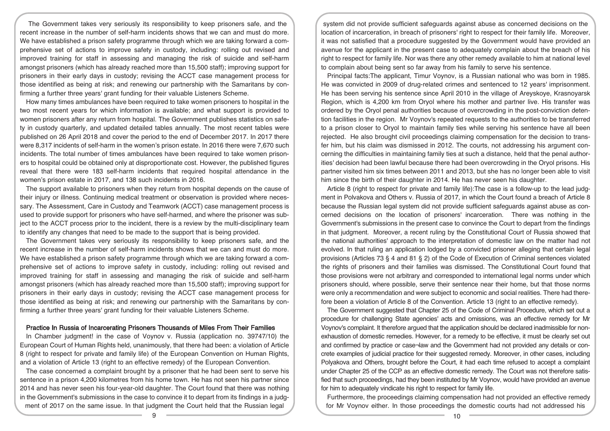The Government takes very seriously its responsibility to keep prisoners safe, and the recent increase in the number of self-harm incidents shows that we can and must do more. We have established a prison safety programme through which we are taking forward a comprehensive set of actions to improve safety in custody, including: rolling out revised and improved training for staff in assessing and managing the risk of suicide and self-harm amongst prisoners (which has already reached more than 15,500 staff); improving support for prisoners in their early days in custody; revising the ACCT case management process for those identified as being at risk; and renewing our partnership with the Samaritans by confirming a further three years' grant funding for their valuable Listeners Scheme.

How many times ambulances have been required to take women prisoners to hospital in the two most recent years for which information is available; and what support is provided to women prisoners after any return from hospital. The Government publishes statistics on safety in custody quarterly, and updated detailed tables annually. The most recent tables were published on 26 April 2018 and cover the period to the end of December 2017. In 2017 there were 8,317 incidents of self-harm in the women's prison estate. In 2016 there were 7,670 such incidents. The total number of times ambulances have been required to take women prisoners to hospital could be obtained only at disproportionate cost. However, the published figures reveal that there were 183 self-harm incidents that required hospital attendance in the women's prison estate in 2017, and 138 such incidents in 2016.

The support available to prisoners when they return from hospital depends on the cause of their injury or illness. Continuing medical treatment or observation is provided where necessary. The Assessment, Care in Custody and Teamwork (ACCT) case management process is used to provide support for prisoners who have self-harmed, and where the prisoner was subject to the ACCT process prior to the incident, there is a review by the multi-disciplinary team to identify any changes that need to be made to the support that is being provided.

The Government takes very seriously its responsibility to keep prisoners safe, and the recent increase in the number of self-harm incidents shows that we can and must do more. We have established a prison safety programme through which we are taking forward a comprehensive set of actions to improve safety in custody, including: rolling out revised and improved training for staff in assessing and managing the risk of suicide and self-harm amongst prisoners (which has already reached more than 15,500 staff); improving support for prisoners in their early days in custody; revising the ACCT case management process for those identified as being at risk; and renewing our partnership with the Samaritans by confirming a further three years' grant funding for their valuable Listeners Scheme.

## Practice In Russia of Incarcerating Prisoners Thousands of Miles From Their Families

In Chamber judgment! in the case of Voynov v. Russia (application no. 39747/10) the European Court of Human Rights held, unanimously, that there had been: a violation of Article 8 (right to respect for private and family life) of the European Convention on Human Rights, and a violation of Article 13 (right to an effective remedy) of the European Convention.

The case concerned a complaint brought by a prisoner that he had been sent to serve his sentence in a prison 4,200 kilometres from his home town. He has not seen his partner since 2014 and has never seen his four-year-old daughter. The Court found that there was nothing in the Government's submissions in the case to convince it to depart from its findings in a judgment of 2017 on the same issue. In that judgment the Court held that the Russian legal

system did not provide sufficient safeguards against abuse as concerned decisions on the location of incarceration, in breach of prisoners' right to respect for their family life. Moreover, it was not satisfied that a procedure suggested by the Government would have provided an avenue for the applicant in the present case to adequately complain about the breach of his right to respect for family life. Nor was there any other remedy available to him at national level to complain about being sent so far away from his family to serve his sentence.

Principal facts:The applicant, Timur Voynov, is a Russian national who was born in 1985. He was convicted in 2009 of drug-related crimes and sentenced to 12 years' imprisonment. He has been serving his sentence since April 2010 in the village of Areyskoye, Krasnoyarsk Region, which is 4,200 km from Oryol where his mother and partner live. His transfer was ordered by the Oryol penal authorities because of overcrowding in the post-conviction detention facilities in the region. Mr Voynov's repeated requests to the authorities to be transferred to a prison closer to Oryol to maintain family ties while serving his sentence have all been rejected. He also brought civil proceedings claiming compensation for the decision to transfer him, but his claim was dismissed in 2012. The courts, not addressing his argument concerning the difficulties in maintaining family ties at such a distance, held that the penal authorities' decision had been lawful because there had been overcrowding in the Oryol prisons. His partner visited him six times between 2011 and 2013, but she has no longer been able to visit him since the birth of their daughter in 2014. He has never seen his daughter.

Article 8 (right to respect for private and family life):The case is a follow-up to the lead judgment in Polvakova and Others v. Russia of 2017, in which the Court found a breach of Article 8 because the Russian legal system did not provide sufficient safeguards against abuse as concerned decisions on the location of prisoners' incarceration. There was nothing in the Government's submissions in the present case to convince the Court to depart from the findings in that judgment. Moreover, a recent ruling by the Constitutional Court of Russia showed that the national authorities' approach to the interpretation of domestic law on the matter had not evolved. In that ruling an application lodged by a convicted prisoner alleging that certain legal provisions (Articles 73 § 4 and 81 § 2) of the Code of Execution of Criminal sentences violated the rights of prisoners and their families was dismissed. The Constitutional Court found that those provisions were not arbitrary and corresponded to international legal norms under which prisoners should, where possible, serve their sentence near their home, but that those norms were only a recommendation and were subject to economic and social realities. There had therefore been a violation of Article 8 of the Convention. Article 13 (right to an effective remedy).

The Government suggested that Chapter 25 of the Code of Criminal Procedure, which set out a procedure for challenging State agencies' acts and omissions, was an effective remedy for Mr Voynov's complaint. It therefore argued that the application should be declared inadmissible for nonexhaustion of domestic remedies. However, for a remedy to be effective, it must be clearly set out and confirmed by practice or case¬law and the Government had not provided any details or concrete examples of judicial practice for their suggested remedy. Moreover, in other cases, including Polyakova and Others, brought before the Court, it had each time refused to accept a complaint under Chapter 25 of the CCP as an effective domestic remedy. The Court was not therefore satisfied that such proceedings, had they been instituted by Mr Voynov, would have provided an avenue for him to adequately vindicate his right to respect for family life.

Furthermore, the proceedings claiming compensation had not provided an effective remedy for Mr Voynov either. In those proceedings the domestic courts had not addressed his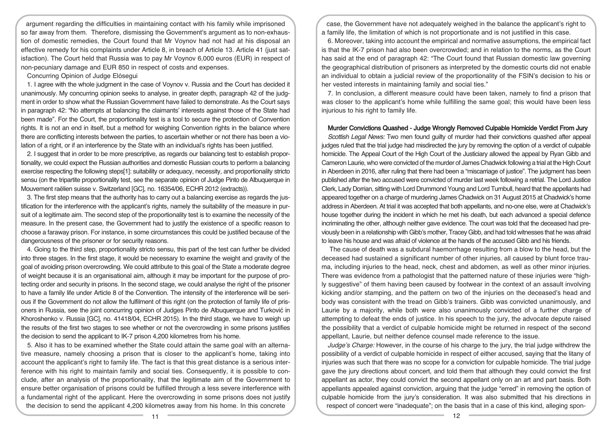argument regarding the difficulties in maintaining contact with his family while imprisoned so far away from them. Therefore, dismissing the Government's argument as to non-exhaustion of domestic remedies, the Court found that Mr Voynov had not had at his disposal an effective remedy for his complaints under Article 8, in breach of Article 13. Article 41 (just satisfaction). The Court held that Russia was to pay Mr Voynov 6,000 euros (EUR) in respect of non-pecuniary damage and EUR 850 in respect of costs and expenses.

Concurring Opinion of Judge Elósegui

1. I agree with the whole judgment in the case of Voynov v. Russia and the Court has decided it unanimously. My concurring opinion seeks to analyse, in greater depth, paragraph 42 of the judgment in order to show what the Russian Government have failed to demonstrate. As the Court says in paragraph 42: "No attempts at balancing the claimants' interests against those of the State had been made". For the Court, the proportionality test is a tool to secure the protection of Convention rights. It is not an end in itself, but a method for weighing Convention rights in the balance where there are conflicting interests between the parties, to ascertain whether or not there has been a violation of a right, or if an interference by the State with an individual's rights has been justified.

2. I suggest that in order to be more prescriptive, as regards our balancing test to establish proportionality, we could expect the Russian authorities and domestic Russian courts to perform a balancing exercise respecting the following steps[1]: suitability or adequacy, necessity, and proportionality stricto sensu (on the tripartite proportionality test, see the separate opinion of Judge Pinto de Albuquerque in Mouvement raëlien suisse v. Switzerland [GC], no. 16354/06, ECHR 2012 (extracts)).

3. The first step means that the authority has to carry out a balancing exercise as regards the justification for the interference with the applicant's rights, namely the suitability of the measure in pursuit of a legitimate aim. The second step of the proportionality test is to examine the necessity of the measure. In the present case, the Government had to justify the existence of a specific reason to choose a faraway prison. For instance, in some circumstances this could be justified because of the dangerousness of the prisoner or for security reasons.

4. Going to the third step, proportionality stricto sensu, this part of the test can further be divided into three stages. In the first stage, it would be necessary to examine the weight and gravity of the goal of avoiding prison overcrowding. We could attribute to this goal of the State a moderate degree of weight because it is an organisational aim, although it may be important for the purpose of protecting order and security in prisons. In the second stage, we could analyse the right of the prisoner to have a family life under Article 8 of the Convention. The intensity of the interference will be serious if the Government do not allow the fulfilment of this right (on the protection of family life of prisoners in Russia, see the joint concurring opinion of Judges Pinto de Albuquerque and Turković in Khoroshenko v. Russia [GC], no. 41418/04, ECHR 2015). In the third stage, we have to weigh up the results of the first two stages to see whether or not the overcrowding in some prisons justifies the decision to send the applicant to IK-7 prison 4,200 kilometres from his home.

5. Also it has to be examined whether the State could attain the same goal with an alternative measure, namely choosing a prison that is closer to the applicant's home, taking into account the applicant's right to family life. The fact is that this great distance is a serious interference with his right to maintain family and social ties. Consequently, it is possible to conclude, after an analysis of the proportionality, that the legitimate aim of the Government to ensure better organisation of prisons could be fulfilled through a less severe interference with a fundamental right of the applicant. Here the overcrowding in some prisons does not justify the decision to send the applicant 4,200 kilometres away from his home. In this concrete

case, the Government have not adequately weighed in the balance the applicant's right to a family life, the limitation of which is not proportionate and is not justified in this case.

6. Moreover, taking into account the empirical and normative assumptions, the empirical fact is that the IK-7 prison had also been overcrowded; and in relation to the norms, as the Court has said at the end of paragraph 42: "The Court found that Russian domestic law governing the geographical distribution of prisoners as interpreted by the domestic courts did not enable an individual to obtain a judicial review of the proportionality of the FSIN's decision to his or her vested interests in maintaining family and social ties."

7. In conclusion, a different measure could have been taken, namely to find a prison that was closer to the applicant's home while fulfilling the same goal; this would have been less injurious to his right to family life.

# Murder Convictions Quashed - Judge Wrongly Removed Culpable Homicide Verdict From Jury

Scottish Legal News: Two men found quilty of murder had their convictions quashed after appeal judges ruled that the trial judge had misdirected the jury by removing the option of a verdict of culpable homicide. The Appeal Court of the High Court of the Justiciary allowed the appeal by Ryan Gibb and Cameron Laurie, who were convicted of the murder of James Chadwick following a trial at the High Court in Aberdeen in 2016, after ruling that there had been a "miscarriage of justice". The judgment has been published after the two accused were convicted of murder last week following a retrial. The Lord Justice Clerk, Lady Dorrian, sitting with Lord Drummond Young and Lord Turnbull, heard that the appellants had appeared together on a charge of murdering James Chadwick on 31 August 2015 at Chadwick's home address in Aberdeen. At trial it was accepted that both appellants, and no-one else, were at Chadwick's house together during the incident in which he met his death, but each advanced a special defence incriminating the other, although neither gave evidence. The court was told that the deceased had previously been in a relationship with Gibb's mother, Tracey Gibb, and had told witnesses that he was afraid to leave his house and was afraid of violence at the hands of the accused Gibb and his friends.

The cause of death was a subdural haemorrhage resulting from a blow to the head, but the deceased had sustained a significant number of other injuries, all caused by blunt force trauma, including injuries to the head, neck, chest and abdomen, as well as other minor injuries. There was evidence from a pathologist that the patterned nature of these injuries were "highly suggestive" of them having been caused by footwear in the context of an assault involving kicking and/or stamping, and the pattern on two of the injuries on the deceased's head and body was consistent with the tread on Gibb's trainers. Gibb was convicted unanimously, and Laurie by a majority, while both were also unanimously convicted of a further charge of attempting to defeat the ends of justice. In his speech to the jury, the advocate depute raised the possibility that a verdict of culpable homicide might be returned in respect of the second appellant, Laurie, but neither defence counsel made reference to the issue.

Judge's Charge: However, in the course of his charge to the jury, the trial judge withdrew the possibility of a verdict of culpable homicide in respect of either accused, saying that the litany of injuries was such that there was no scope for a conviction for culpable homicide. The trial judge gave the jury directions about concert, and told them that although they could convict the first appellant as actor, they could convict the second appellant only on an art and part basis. Both appellants appealed against conviction, arguing that the judge "erred" in removing the option of culpable homicide from the jury's consideration. It was also submitted that his directions in respect of concert were "inadequate"; on the basis that in a case of this kind, alleging spon-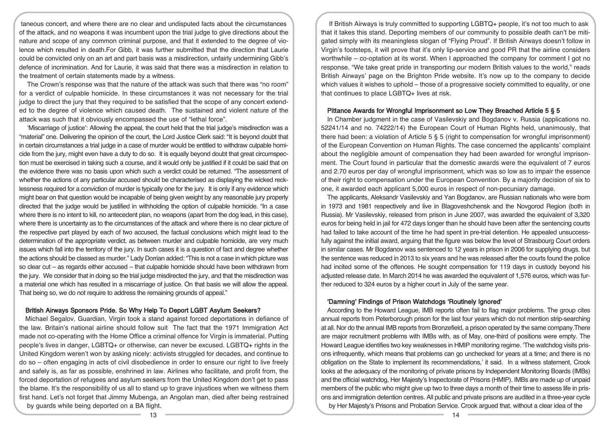taneous concert, and where there are no clear and undisputed facts about the circumstances of the attack, and no weapons it was incumbent upon the trial judge to give directions about the nature and scope of any common criminal purpose, and that it extended to the degree of violence which resulted in death.For Gibb, it was further submitted that the direction that Laurie could be convicted only on an art and part basis was a misdirection, unfairly undermining Gibb's defence of incrimination. And for Laurie, it was said that there was a misdirection in relation to the treatment of certain statements made by a witness.

The Crown's response was that the nature of the attack was such that there was "no room" for a verdict of culpable homicide. In these circumstances it was not necessary for the trial judge to direct the jury that they required to be satisfied that the scope of any concert extended to the degree of violence which caused death. The sustained and violent nature of the attack was such that it obviously encompassed the use of "lethal force".

'Miscarriage of justice': Allowing the appeal, the court held that the trial judge's misdirection was a "material" one. Delivering the opinion of the court, the Lord Justice Clerk said: "It is beyond doubt that in certain circumstances a trial judge in a case of murder would be entitled to withdraw culpable homicide from the jury, might even have a duty to do so. It is equally beyond doubt that great circumspection must be exercised in taking such a course, and it would only be justified if it could be said that on the evidence there was no basis upon which such a verdict could be returned. "The assessment of whether the actions of any particular accused should be characterised as displaying the wicked recklessness required for a conviction of murder is typically one for the jury. It is only if any evidence which might bear on that question would be incapable of being given weight by any reasonable jury properly directed that the judge would be justified in withholding the option of culpable homicide. "In a case where there is no intent to kill, no antecedent plan, no weapons (apart from the dog lead, in this case), where there is uncertainty as to the circumstances of the attack and where there is no clear picture of the respective part played by each of two accused, the factual conclusions which might lead to the determination of the appropriate verdict, as between murder and culpable homicide, are very much issues which fall into the territory of the jury. In such cases it is a question of fact and degree whether the actions should be classed as murder." Lady Dorrian added: "This is not a case in which picture was so clear cut – as regards either accused – that culpable homicide should have been withdrawn from the jury. We consider that in doing so the trial judge misdirected the jury, and that the misdirection was a material one which has resulted in a miscarriage of justice. On that basis we will allow the appeal. That being so, we do not require to address the remaining grounds of appeal."

# British Airways Sponsors Pride. So Why Help To Deport LGBT Asylum Seekers?

Michael Segalov, Guardian, Virgin took a stand against forced deportations in defiance of the law. Britain's national airline should follow suit The fact that the 1971 Immigration Act made not co-operating with the Home Office a criminal offence for Virgin is immaterial. Putting people's lives in danger, LGBTQ+ or otherwise, can never be excused. LGBTQ+ rights in the United Kingdom weren't won by asking nicely: activists struggled for decades, and continue to do so – often engaging in acts of civil disobedience in order to ensure our right to live freely and safely is, as far as possible, enshrined in law. Airlines who facilitate, and profit from, the forced deportation of refugees and asylum seekers from the United Kingdom don't get to pass the blame. It's the responsibility of us all to stand up to grave injustices when we witness them first hand. Let's not forget that Jimmy Mubenga, an Angolan man, died after being restrained by guards while being deported on a BA flight.

If British Airways is truly committed to supporting LGBTQ+ people, it's not too much to ask that it takes this stand. Deporting members of our community to possible death can't be mitigated simply with its meaningless slogan of "Flying Proud". If British Airways doesn't follow in Virgin's footsteps, it will prove that it's only lip-service and good PR that the airline considers worthwhile – co-optation at its worst. When I approached the company for comment I got no response. "We take great pride in transporting our modern British values to the world," reads British Airways' page on the Brighton Pride website. It's now up to the company to decide which values it wishes to uphold – those of a progressive society committed to equality, or one that continues to place LGBTQ+ lives at risk.

## Pittance Awards for Wrongful Imprisonment so Low They Breached Article 5 § 5

In Chamber judgment in the case of Vasilevskiy and Bogdanov v. Russia (applications no. 52241/14 and no. 74222/14) the European Court of Human Rights held, unanimously, that there had been: a violation of Article 5 § 5 (right to compensation for wrongful imprisonment) of the European Convention on Human Rights. The case concerned the applicants' complaint about the negligible amount of compensation they had been awarded for wrongful imprisonment. The Court found in particular that the domestic awards were the equivalent of 7 euros and 2.70 euros per day of wrongful imprisonment, which was so low as to impair the essence of their right to compensation under the European Convention. By a majority decision of six to one, it awarded each applicant 5,000 euros in respect of non-pecuniary damage.

The applicants, Aleksandr Vasilevskiy and Yan Bogdanov, are Russian nationals who were born in 1973 and 1981 respectively and live in Blagoveshchensk and the Novgorod Region (both in Russia). Mr Vasilevskiy, released from prison in June 2007, was awarded the equivalent of 3,320 euros for being held in jail for 472 days longer than he should have been after the sentencing courts had failed to take account of the time he had spent in pre-trial detention. He appealed unsuccessfully against the initial award, arguing that the figure was below the level of Strasbourg Court orders in similar cases. Mr Bogdanov was sentenced to 12 years in prison in 2006 for supplying drugs, but the sentence was reduced in 2013 to six years and he was released after the courts found the police had incited some of the offences. He sought compensation for 119 days in custody beyond his adjusted release date. In March 2014 he was awarded the equivalent of 1,576 euros, which was further reduced to 324 euros by a higher court in July of the same year.

## 'Damning' Findings of Prison Watchdogs 'Routinely Ignored'

According to the Howard League, IMB reports often fail to flag major problems. The group cites annual reports from Peterborough prison for the last four years which do not mention strip-searching at all. Nor do the annual IMB reports from Bronzefield, a prison operated by the same company.There are major recruitment problems with IMBs with, as of May, one-third of positions were empty. The Howard League identifies two key weaknesses in HMIP monitoring regime. 'The watchdog visits prisons infrequently, which means that problems can go unchecked for years at a time; and there is no obligation on the State to implement its recommendations,' it said. In a witness statement, Crook looks at the adequacy of the monitoring of private prisons by Independent Monitoring Boards (IMBs) and the official watchdog, Her Majesty's Inspectorate of Prisons (HMIP). IMBs are made up of unpaid members of the public who might give up two to three days a month of their time to assess life in prisons and immigration detention centres. All public and private prisons are audited in a three-year cycle by Her Majesty's Prisons and Probation Service. Crook argued that, without a clear idea of the